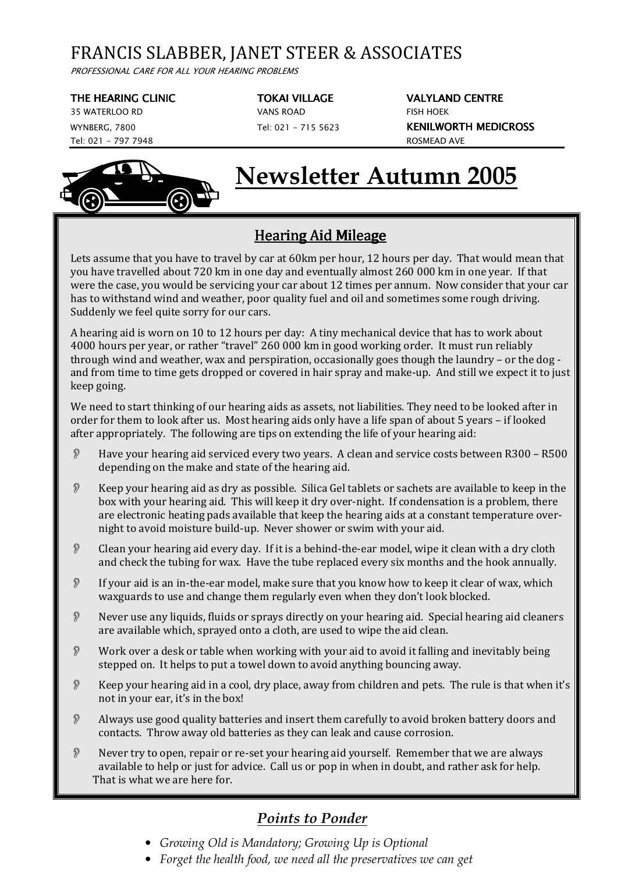## FRANCIS SLABBER, JANET STEER & ASSOCIATES

PROFESSIONAL CARE FOR ALL YOUR HEARING PROBLEMS

35 WATERLOO RD VANS ROAD FISH HOEK Tel: 021 - 797 7948 ROSMEAD AVE



THE HEARING CLINIC TOKAI VILLAGE VALYLAND CENTRE WYNBERG, 7800 Tel: 021 - 715 5623 KENILWORTH MEDICROSS

# **Newsletter Autumn 2005**

## Hearing Aid Mileage

Lets assume that you have to travel by car at 60km per hour, 12 hours per day. That would mean that you have travelled about 720 km in one day and eventually almost 260 000 km in one year. If that were the case, you would be servicing your car about 12 times per annum. Now consider that your car has to withstand wind and weather, poor quality fuel and oil and sometimes some rough driving. Suddenly we feel quite sorry for our cars.

A hearing aid is worn on 10 to 12 hours per day: A tiny mechanical device that has to work about 4000 hours per year, or rather "travel" 260 000 km in good working order. It must run reliably through wind and weather, wax and perspiration, occasionally goes though the laundry – or the dog and from time to time gets dropped or covered in hair spray and make-up. And still we expect it to just keep going.

We need to start thinking of our hearing aids as assets, not liabilities. They need to be looked after in order for them to look after us. Most hearing aids only have a life span of about 5 years – if looked after appropriately. The following are tips on extending the life of your hearing aid:

- Have your hearing aid serviced every two years. A clean and service costs between R300 R500 depending on the make and state of the hearing aid.
- $\mathcal{R}$  Keep your hearing aid as dry as possible. Silica Gel tablets or sachets are available to keep in the box with your hearing aid. This will keep it dry over-night. If condensation is a problem, there are electronic heating pads available that keep the hearing aids at a constant temperature overnight to avoid moisture build-up. Never shower or swim with your aid.
- Clean your hearing aid every day. If it is a behind-the-ear model, wipe it clean with a dry cloth and check the tubing for wax. Have the tube replaced every six months and the hook annually.
- $\mathcal{D}$  If your aid is an in-the-ear model, make sure that you know how to keep it clear of wax, which waxguards to use and change them regularly even when they don't look blocked.
- Never use any liquids, fluids or sprays directly on your hearing aid. Special hearing aid cleaners are available which, sprayed onto a cloth, are used to wipe the aid clean.
- Work over a desk or table when working with your aid to avoid it falling and inevitably being stepped on. It helps to put a towel down to avoid anything bouncing away.
- Keep your hearing aid in a cool, dry place, away from children and pets. The rule is that when it's not in your ear, it's in the box!
- Always use good quality batteries and insert them carefully to avoid broken battery doors and contacts. Throw away old batteries as they can leak and cause corrosion.
- Never try to open, repair or re-set your hearing aid yourself. Remember that we are always available to help or just for advice. Call us or pop in when in doubt, and rather ask for help. That is what we are here for.

## *Points to Ponder*

- *Growing Old is Mandatory; Growing Up is Optional*
- *Forget the health food, we need all the preservatives we can get*